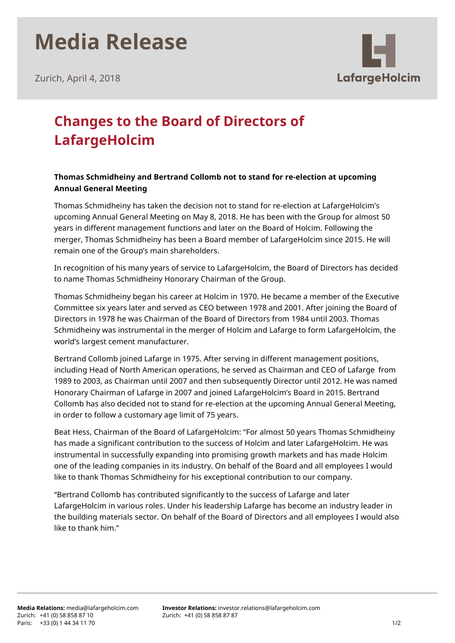# **Media Release**



Zurich, April 4, 2018

### **Changes to the Board of Directors of LafargeHolcim**

### **Thomas Schmidheiny and Bertrand Collomb not to stand for re-election at upcoming Annual General Meeting**

Thomas Schmidheiny has taken the decision not to stand for re-election at LafargeHolcim's upcoming Annual General Meeting on May 8, 2018. He has been with the Group for almost 50 years in different management functions and later on the Board of Holcim. Following the merger, Thomas Schmidheiny has been a Board member of LafargeHolcim since 2015. He will remain one of the Group's main shareholders.

In recognition of his many years of service to LafargeHolcim, the Board of Directors has decided to name Thomas Schmidheiny Honorary Chairman of the Group.

Thomas Schmidheiny began his career at Holcim in 1970. He became a member of the Executive Committee six years later and served as CEO between 1978 and 2001. After joining the Board of Directors in 1978 he was Chairman of the Board of Directors from 1984 until 2003. Thomas Schmidheiny was instrumental in the merger of Holcim and Lafarge to form LafargeHolcim, the world's largest cement manufacturer.

Bertrand Collomb joined Lafarge in 1975. After serving in different management positions, including Head of North American operations, he served as Chairman and CEO of Lafarge  from 1989 to 2003, as Chairman until 2007 and then subsequently Director until 2012. He was named Honorary Chairman of Lafarge in 2007 and joined LafargeHolcim's Board in 2015. Bertrand Collomb has also decided not to stand for re-election at the upcoming Annual General Meeting, in order to follow a customary age limit of 75 years.

Beat Hess, Chairman of the Board of LafargeHolcim: "For almost 50 years Thomas Schmidheiny has made a significant contribution to the success of Holcim and later LafargeHolcim. He was instrumental in successfully expanding into promising growth markets and has made Holcim one of the leading companies in its industry. On behalf of the Board and all employees I would like to thank Thomas Schmidheiny for his exceptional contribution to our company.

"Bertrand Collomb has contributed significantly to the success of Lafarge and later LafargeHolcim in various roles. Under his leadership Lafarge has become an industry leader in the building materials sector. On behalf of the Board of Directors and all employees I would also like to thank him."